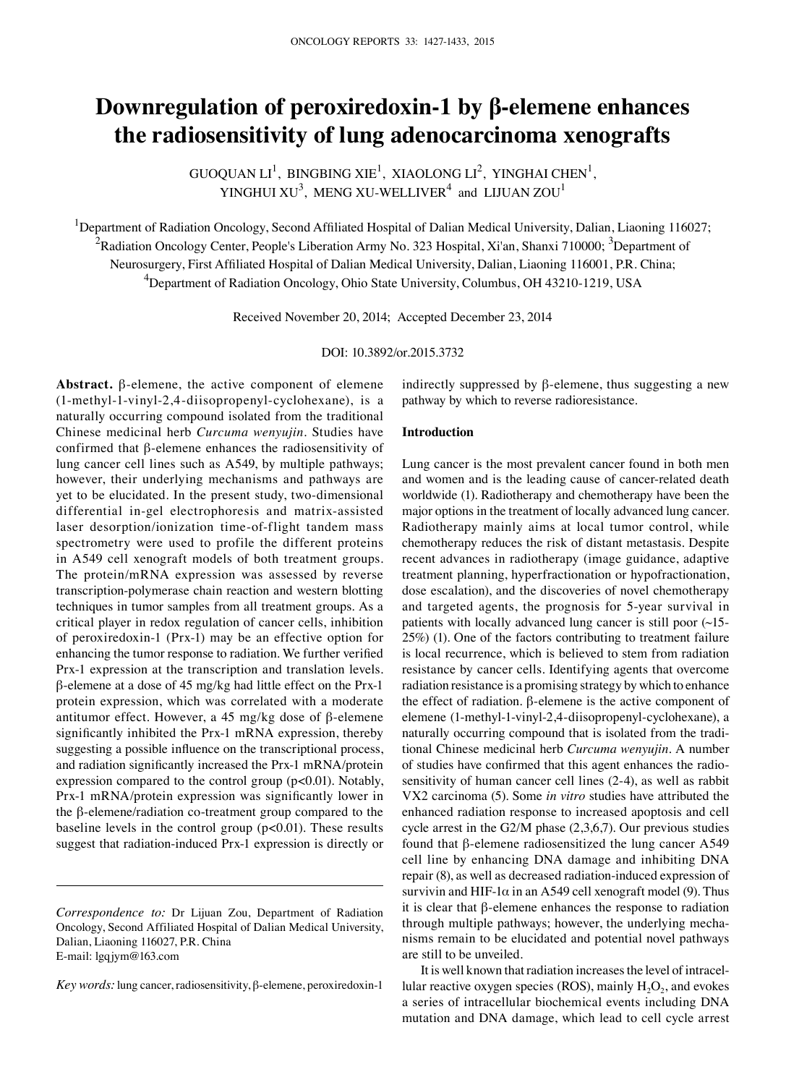# **Downregulation of peroxiredoxin-1 by β-elemene enhances the radiosensitivity of lung adenocarcinoma xenografts**

GUOQUAN  $LI^1$ , BINGBING XIE<sup>1</sup>, XIAOLONG  $LI^2$ , YINGHAI CHEN<sup>1</sup>, YINGHUI  $XU^3$ , MENG XU-WELLIVER<sup>4</sup> and LIJUAN ZOU<sup>1</sup>

<sup>1</sup>Department of Radiation Oncology, Second Affiliated Hospital of Dalian Medical University, Dalian, Liaoning 116027;  $^2$ Radiation Oncology Center, People's Liberation Army No. 323 Hospital, Xi'an, Shanxi 710000;  $^3$ Department of Neurosurgery, First Affiliated Hospital of Dalian Medical University, Dalian, Liaoning 116001, P.R. China; 4 Department of Radiation Oncology, Ohio State University, Columbus, OH 43210-1219, USA

Received November 20, 2014; Accepted December 23, 2014

## DOI: 10.3892/or.2015.3732

**Abstract.** β-elemene, the active component of elemene (1-methyl-1-vinyl-2,4-diisopropenyl-cyclohexane), is a naturally occurring compound isolated from the traditional Chinese medicinal herb *Curcuma wenyujin*. Studies have confirmed that β-elemene enhances the radiosensitivity of lung cancer cell lines such as A549, by multiple pathways; however, their underlying mechanisms and pathways are yet to be elucidated. In the present study, two-dimensional differential in-gel electrophoresis and matrix-assisted laser desorption/ionization time-of-flight tandem mass spectrometry were used to profile the different proteins in A549 cell xenograft models of both treatment groups. The protein/mRNA expression was assessed by reverse transcription-polymerase chain reaction and western blotting techniques in tumor samples from all treatment groups. As a critical player in redox regulation of cancer cells, inhibition of peroxiredoxin-1 (Prx-1) may be an effective option for enhancing the tumor response to radiation. We further verified Prx-1 expression at the transcription and translation levels. β-elemene at a dose of 45 mg/kg had little effect on the Prx-1 protein expression, which was correlated with a moderate antitumor effect. However, a 45 mg/kg dose of β-elemene significantly inhibited the Prx-1 mRNA expression, thereby suggesting a possible influence on the transcriptional process, and radiation significantly increased the Prx-1 mRNA/protein expression compared to the control group (p<0.01). Notably, Prx-1 mRNA/protein expression was significantly lower in the β-elemene/radiation co-treatment group compared to the baseline levels in the control group (p<0.01). These results suggest that radiation-induced Prx-1 expression is directly or indirectly suppressed by  $\beta$ -elemene, thus suggesting a new pathway by which to reverse radioresistance.

## **Introduction**

Lung cancer is the most prevalent cancer found in both men and women and is the leading cause of cancer-related death worldwide (1). Radiotherapy and chemotherapy have been the major options in the treatment of locally advanced lung cancer. Radiotherapy mainly aims at local tumor control, while chemotherapy reduces the risk of distant metastasis. Despite recent advances in radiotherapy (image guidance, adaptive treatment planning, hyperfractionation or hypofractionation, dose escalation), and the discoveries of novel chemotherapy and targeted agents, the prognosis for 5-year survival in patients with locally advanced lung cancer is still poor (~15- 25%) (1). One of the factors contributing to treatment failure is local recurrence, which is believed to stem from radiation resistance by cancer cells. Identifying agents that overcome radiation resistance is a promising strategy by which to enhance the effect of radiation. β-elemene is the active component of elemene (1-methyl-1-vinyl-2,4-diisopropenyl-cyclohexane), a naturally occurring compound that is isolated from the traditional Chinese medicinal herb *Curcuma wenyujin*. A number of studies have confirmed that this agent enhances the radiosensitivity of human cancer cell lines (2-4), as well as rabbit VX2 carcinoma (5). Some *in vitro* studies have attributed the enhanced radiation response to increased apoptosis and cell cycle arrest in the G2/M phase (2,3,6,7). Our previous studies found that β-elemene radiosensitized the lung cancer A549 cell line by enhancing DNA damage and inhibiting DNA repair (8), as well as decreased radiation-induced expression of survivin and HIF-1 $\alpha$  in an A549 cell xenograft model (9). Thus it is clear that β-elemene enhances the response to radiation through multiple pathways; however, the underlying mechanisms remain to be elucidated and potential novel pathways are still to be unveiled.

It is well known that radiation increases the level of intracellular reactive oxygen species (ROS), mainly  $H_2O_2$ , and evokes a series of intracellular biochemical events including DNA mutation and DNA damage, which lead to cell cycle arrest

*Correspondence to:* Dr Lijuan Zou, Department of Radiation Oncology, Second Affiliated Hospital of Dalian Medical University, Dalian, Liaoning 116027, P.R. China E-mail: lgqjym@163.com

*Key words:* lung cancer, radiosensitivity, β-elemene, peroxiredoxin-1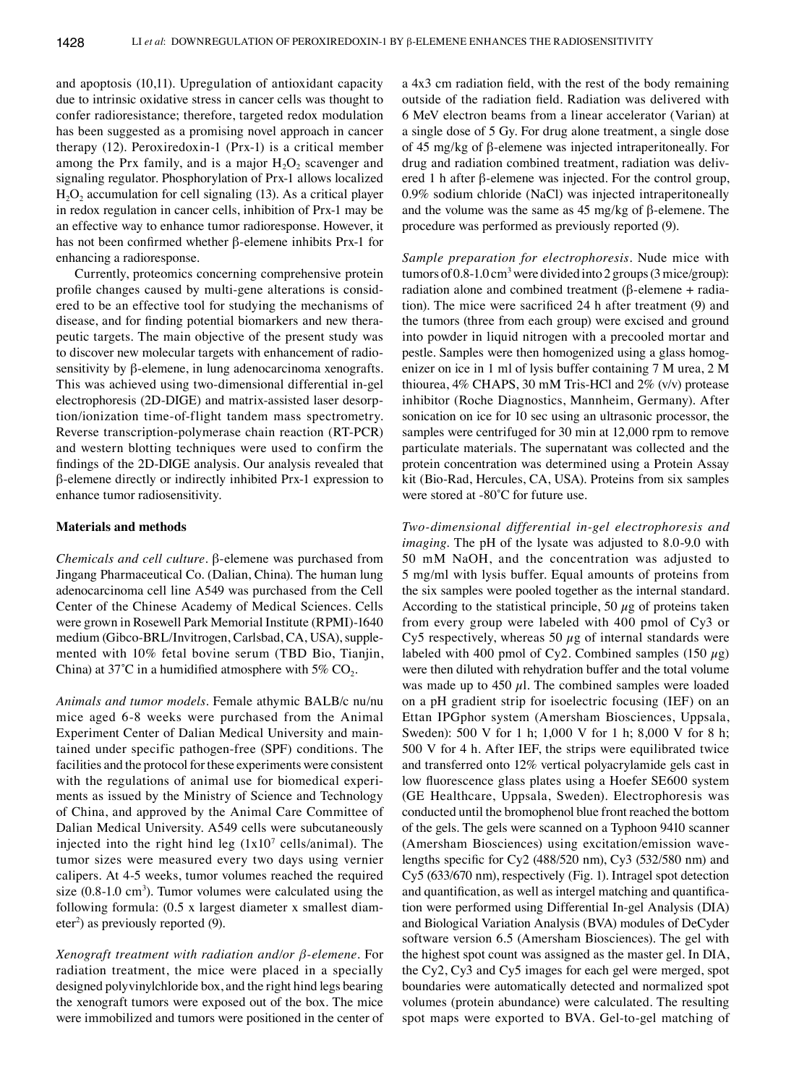and apoptosis (10,11). Upregulation of antioxidant capacity due to intrinsic oxidative stress in cancer cells was thought to confer radioresistance; therefore, targeted redox modulation has been suggested as a promising novel approach in cancer therapy (12). Peroxiredoxin-1 (Prx-1) is a critical member among the Prx family, and is a major  $H_2O_2$  scavenger and signaling regulator. Phosphorylation of Prx-1 allows localized  $H<sub>2</sub>O<sub>2</sub>$  accumulation for cell signaling (13). As a critical player in redox regulation in cancer cells, inhibition of Prx-1 may be an effective way to enhance tumor radioresponse. However, it has not been confirmed whether β-elemene inhibits Prx-1 for enhancing a radioresponse.

Currently, proteomics concerning comprehensive protein profile changes caused by multi-gene alterations is considered to be an effective tool for studying the mechanisms of disease, and for finding potential biomarkers and new therapeutic targets. The main objective of the present study was to discover new molecular targets with enhancement of radiosensitivity by β-elemene, in lung adenocarcinoma xenografts. This was achieved using two-dimensional differential in-gel electrophoresis (2D-DIGE) and matrix-assisted laser desorption/ionization time-of-flight tandem mass spectrometry. Reverse transcription-polymerase chain reaction (RT-PCR) and western blotting techniques were used to confirm the findings of the 2D-DIGE analysis. Our analysis revealed that β-elemene directly or indirectly inhibited Prx-1 expression to enhance tumor radiosensitivity.

#### **Materials and methods**

*Chemicals and cell culture.* β-elemene was purchased from Jingang Pharmaceutical Co. (Dalian, China). The human lung adenocarcinoma cell line A549 was purchased from the Cell Center of the Chinese Academy of Medical Sciences. Cells were grown in Rosewell Park Memorial Institute (RPMI)-1640 medium (Gibco-BRL/Invitrogen, Carlsbad, CA, USA), supplemented with 10% fetal bovine serum (TBD Bio, Tianjin, China) at 37°C in a humidified atmosphere with 5%  $CO<sub>2</sub>$ .

*Animals and tumor models.* Female athymic BALB/c nu/nu mice aged 6-8 weeks were purchased from the Animal Experiment Center of Dalian Medical University and maintained under specific pathogen-free (SPF) conditions. The facilities and the protocol for these experiments were consistent with the regulations of animal use for biomedical experiments as issued by the Ministry of Science and Technology of China, and approved by the Animal Care Committee of Dalian Medical University. A549 cells were subcutaneously injected into the right hind leg  $(1x10<sup>7</sup>$  cells/animal). The tumor sizes were measured every two days using vernier calipers. At 4-5 weeks, tumor volumes reached the required size  $(0.8{\text -}1.0 \text{ cm}^3)$ . Tumor volumes were calculated using the following formula: (0.5 x largest diameter x smallest diameter<sup>2</sup>) as previously reported (9).

*Xenograft treatment with radiation and/or β-elemene.* For radiation treatment, the mice were placed in a specially designed polyvinylchloride box, and the right hind legs bearing the xenograft tumors were exposed out of the box. The mice were immobilized and tumors were positioned in the center of a 4x3 cm radiation field, with the rest of the body remaining outside of the radiation field. Radiation was delivered with 6 MeV electron beams from a linear accelerator (Varian) at a single dose of 5 Gy. For drug alone treatment, a single dose of 45 mg/kg of β-elemene was injected intraperitoneally. For drug and radiation combined treatment, radiation was delivered 1 h after β-elemene was injected. For the control group, 0.9% sodium chloride (NaCl) was injected intraperitoneally and the volume was the same as 45 mg/kg of β-elemene. The procedure was performed as previously reported (9).

*Sample preparation for electrophoresis.* Nude mice with tumors of  $0.8$ -1.0 cm<sup>3</sup> were divided into 2 groups (3 mice/group): radiation alone and combined treatment (β-elemene + radiation). The mice were sacrificed 24 h after treatment (9) and the tumors (three from each group) were excised and ground into powder in liquid nitrogen with a precooled mortar and pestle. Samples were then homogenized using a glass homogenizer on ice in 1 ml of lysis buffer containing 7 M urea, 2 M thiourea,  $4\%$  CHAPS, 30 mM Tris-HCl and  $2\%$  (v/v) protease inhibitor (Roche Diagnostics, Mannheim, Germany). After sonication on ice for 10 sec using an ultrasonic processor, the samples were centrifuged for 30 min at 12,000 rpm to remove particulate materials. The supernatant was collected and the protein concentration was determined using a Protein Assay kit (Bio-Rad, Hercules, CA, USA). Proteins from six samples were stored at -80˚C for future use.

*Two-dimensional differential in-gel electrophoresis and imaging.* The pH of the lysate was adjusted to 8.0-9.0 with 50 mM NaOH, and the concentration was adjusted to 5 mg/ml with lysis buffer. Equal amounts of proteins from the six samples were pooled together as the internal standard. According to the statistical principle, 50  $\mu$ g of proteins taken from every group were labeled with 400 pmol of Cy3 or Cy5 respectively, whereas 50  $\mu$ g of internal standards were labeled with 400 pmol of Cy2. Combined samples (150  $\mu$ g) were then diluted with rehydration buffer and the total volume was made up to 450  $\mu$ l. The combined samples were loaded on a pH gradient strip for isoelectric focusing (IEF) on an Ettan IPGphor system (Amersham Biosciences, Uppsala, Sweden): 500 V for 1 h; 1,000 V for 1 h; 8,000 V for 8 h; 500 V for 4 h. After IEF, the strips were equilibrated twice and transferred onto 12% vertical polyacrylamide gels cast in low fluorescence glass plates using a Hoefer SE600 system (GE Healthcare, Uppsala, Sweden). Electrophoresis was conducted until the bromophenol blue front reached the bottom of the gels. The gels were scanned on a Typhoon 9410 scanner (Amersham Biosciences) using excitation/emission wavelengths specific for Cy2 (488/520 nm), Cy3 (532/580 nm) and Cy5 (633/670 nm), respectively (Fig. 1). Intragel spot detection and quantification, as well as intergel matching and quantification were performed using Differential In-gel Analysis (DIA) and Biological Variation Analysis (BVA) modules of DeCyder software version 6.5 (Amersham Biosciences). The gel with the highest spot count was assigned as the master gel. In DIA, the Cy2, Cy3 and Cy5 images for each gel were merged, spot boundaries were automatically detected and normalized spot volumes (protein abundance) were calculated. The resulting spot maps were exported to BVA. Gel-to-gel matching of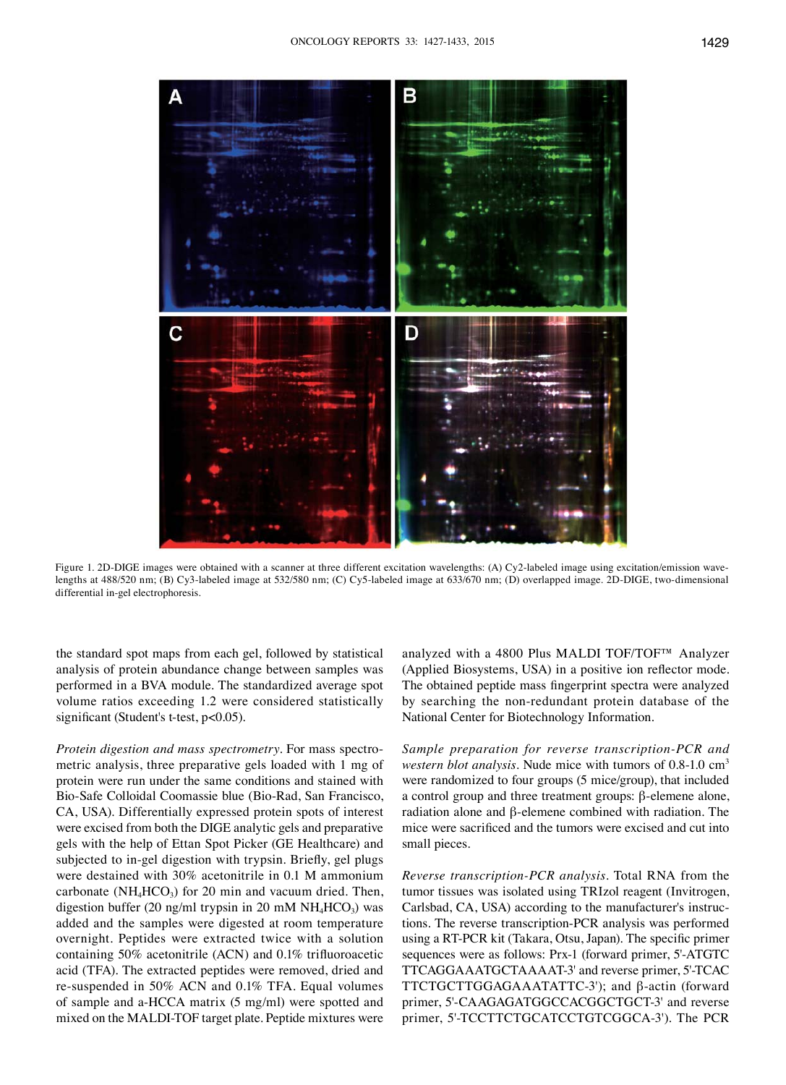



Figure 1. 2D-DIGE images were obtained with a scanner at three different excitation wavelengths: (A) Cy2-labeled image using excitation/emission wavelengths at 488/520 nm; (B) Cy3-labeled image at 532/580 nm; (C) Cy5-labeled image at 633/670 nm; (D) overlapped image. 2D-DIGE, two-dimensional differential in-gel electrophoresis.

the standard spot maps from each gel, followed by statistical analysis of protein abundance change between samples was performed in a BVA module. The standardized average spot volume ratios exceeding 1.2 were considered statistically significant (Student's t-test, p<0.05).

*Protein digestion and mass spectrometry.* For mass spectrometric analysis, three preparative gels loaded with 1 mg of protein were run under the same conditions and stained with Bio-Safe Colloidal Coomassie blue (Bio-Rad, San Francisco, CA, USA). Differentially expressed protein spots of interest were excised from both the DIGE analytic gels and preparative gels with the help of Ettan Spot Picker (GE Healthcare) and subjected to in-gel digestion with trypsin. Briefly, gel plugs were destained with 30% acetonitrile in 0.1 M ammonium carbonate ( $NH<sub>4</sub>HCO<sub>3</sub>$ ) for 20 min and vacuum dried. Then, digestion buffer (20 ng/ml trypsin in 20 mM  $NH_4HCO_3$ ) was added and the samples were digested at room temperature overnight. Peptides were extracted twice with a solution containing 50% acetonitrile (ACN) and 0.1% trifluoroacetic acid (TFA). The extracted peptides were removed, dried and re-suspended in 50% ACN and 0.1% TFA. Equal volumes of sample and a-HCCA matrix (5 mg/ml) were spotted and mixed on the MALDI-TOF target plate. Peptide mixtures were analyzed with a 4800 Plus MALDI TOF/TOF™ Analyzer (Applied Biosystems, USA) in a positive ion reflector mode. The obtained peptide mass fingerprint spectra were analyzed by searching the non-redundant protein database of the National Center for Biotechnology Information.

*Sample preparation for reverse transcription-PCR and western blot analysis.* Nude mice with tumors of 0.8-1.0 cm<sup>3</sup> were randomized to four groups (5 mice/group), that included a control group and three treatment groups: β-elemene alone, radiation alone and β-elemene combined with radiation. The mice were sacrificed and the tumors were excised and cut into small pieces.

*Reverse transcription-PCR analysis.* Total RNA from the tumor tissues was isolated using TRIzol reagent (Invitrogen, Carlsbad, CA, USA) according to the manufacturer's instructions. The reverse transcription-PCR analysis was performed using a RT-PCR kit (Takara, Otsu, Japan). The specific primer sequences were as follows: Prx-1 (forward primer, 5'-ATGTC TTCAGGAAATGCTAAAAT-3' and reverse primer, 5'-TCAC TTCTGCTTGGAGAAATATTC-3'); and β-actin (forward primer, 5'-CAAGAGATGGCCACGGCTGCT-3' and reverse primer, 5'-TCCTTCTGCATCCTGTCGGCA-3'). The PCR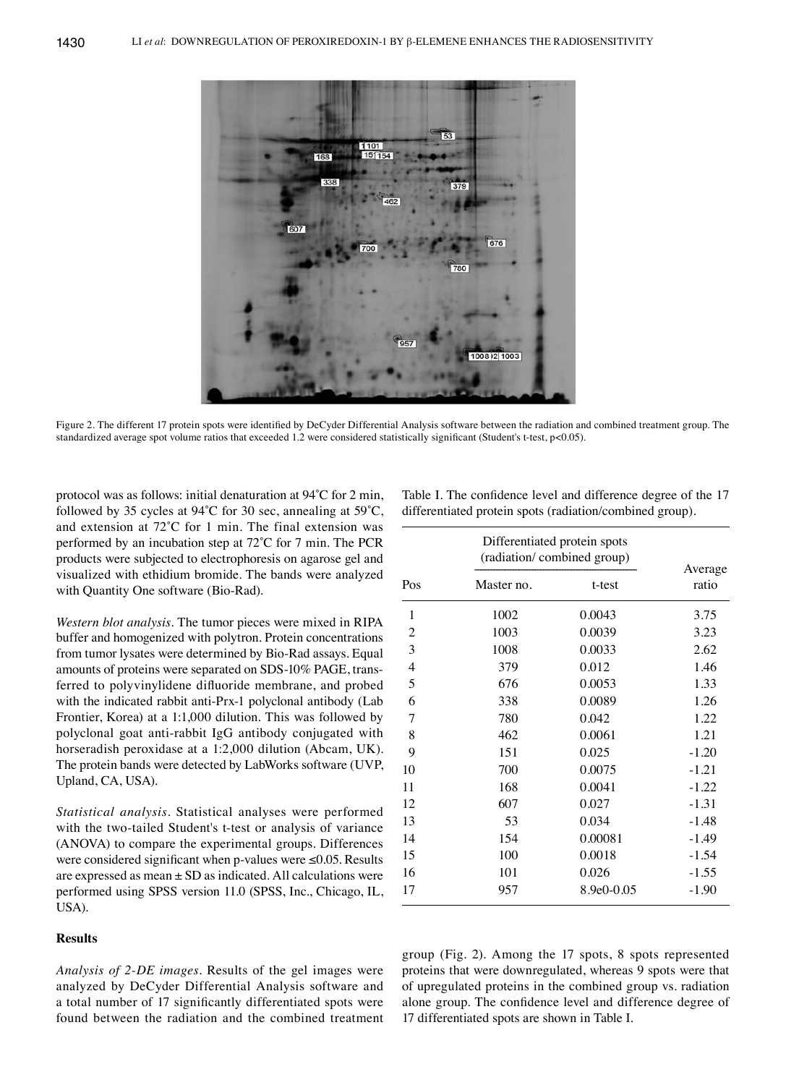

Figure 2. The different 17 protein spots were identified by DeCyder Differential Analysis software between the radiation and combined treatment group. The standardized average spot volume ratios that exceeded 1.2 were considered statistically significant (Student's t-test, p<0.05).

protocol was as follows: initial denaturation at 94˚C for 2 min, followed by 35 cycles at 94˚C for 30 sec, annealing at 59˚C, and extension at 72˚C for 1 min. The final extension was performed by an incubation step at 72˚C for 7 min. The PCR products were subjected to electrophoresis on agarose gel and visualized with ethidium bromide. The bands were analyzed with Quantity One software (Bio-Rad).

*Western blot analysis.* The tumor pieces were mixed in RIPA buffer and homogenized with polytron. Protein concentrations from tumor lysates were determined by Bio-Rad assays. Equal amounts of proteins were separated on SDS-10% PAGE, transferred to polyvinylidene difluoride membrane, and probed with the indicated rabbit anti-Prx-1 polyclonal antibody (Lab Frontier, Korea) at a 1:1,000 dilution. This was followed by polyclonal goat anti-rabbit IgG antibody conjugated with horseradish peroxidase at a 1:2,000 dilution (Abcam, UK). The protein bands were detected by LabWorks software (UVP, Upland, CA, USA).

*Statistical analysis.* Statistical analyses were performed with the two-tailed Student's t-test or analysis of variance (ANOVA) to compare the experimental groups. Differences were considered significant when p-values were ≤0.05. Results are expressed as mean  $\pm$  SD as indicated. All calculations were performed using SPSS version 11.0 (SPSS, Inc., Chicago, IL, USA).

## **Results**

*Analysis of 2-DE images.* Results of the gel images were analyzed by DeCyder Differential Analysis software and a total number of 17 significantly differentiated spots were found between the radiation and the combined treatment Table I. The confidence level and difference degree of the 17 differentiated protein spots (radiation/combined group).

|                | Differentiated protein spots<br>(radiation/combined group) |            |                  |  |  |
|----------------|------------------------------------------------------------|------------|------------------|--|--|
| Pos            | Master no.                                                 | t-test     | Average<br>ratio |  |  |
| 1              | 1002                                                       | 0.0043     | 3.75             |  |  |
| $\overline{c}$ | 1003                                                       | 0.0039     | 3.23             |  |  |
| 3              | 1008                                                       | 0.0033     | 2.62             |  |  |
| $\overline{4}$ | 379                                                        | 0.012      | 1.46             |  |  |
| 5              | 676                                                        | 0.0053     | 1.33             |  |  |
| 6              | 338                                                        | 0.0089     | 1.26             |  |  |
| 7              | 780                                                        | 0.042      | 1.22             |  |  |
| 8              | 462                                                        | 0.0061     | 1.21             |  |  |
| 9              | 151                                                        | 0.025      | $-1.20$          |  |  |
| 10             | 700                                                        | 0.0075     | $-1.21$          |  |  |
| 11             | 168                                                        | 0.0041     | $-1.22$          |  |  |
| 12             | 607                                                        | 0.027      | $-1.31$          |  |  |
| 13             | 53                                                         | 0.034      | $-1.48$          |  |  |
| 14             | 154                                                        | 0.00081    | $-1.49$          |  |  |
| 15             | 100                                                        | 0.0018     | $-1.54$          |  |  |
| 16             | 101                                                        | 0.026      | $-1.55$          |  |  |
| 17             | 957                                                        | 8.9e0-0.05 | $-1.90$          |  |  |

group (Fig. 2). Among the 17 spots, 8 spots represented proteins that were downregulated, whereas 9 spots were that of upregulated proteins in the combined group vs. radiation alone group. The confidence level and difference degree of 17 differentiated spots are shown in Table I.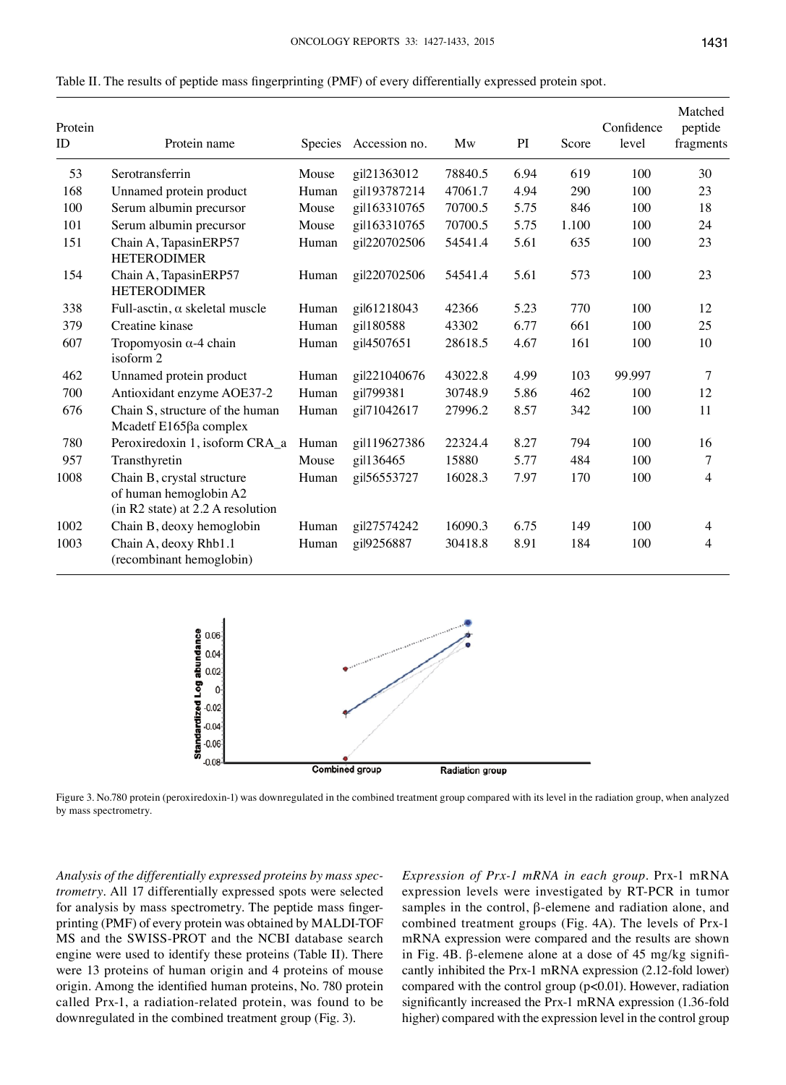| Protein<br>ID | Protein name                                                                              | Species | Accession no. | Mw      | PI   | Score | Confidence<br>level | Matched<br>peptide<br>fragments |
|---------------|-------------------------------------------------------------------------------------------|---------|---------------|---------|------|-------|---------------------|---------------------------------|
| 53            | Serotransferrin                                                                           | Mouse   | gil21363012   | 78840.5 | 6.94 | 619   | 100                 | 30                              |
| 168           | Unnamed protein product                                                                   | Human   | gil193787214  | 47061.7 | 4.94 | 290   | 100                 | 23                              |
| 100           | Serum albumin precursor                                                                   | Mouse   | gil163310765  | 70700.5 | 5.75 | 846   | 100                 | 18                              |
| 101           | Serum albumin precursor                                                                   | Mouse   | gil163310765  | 70700.5 | 5.75 | 1.100 | 100                 | 24                              |
| 151           | Chain A, TapasinERP57<br><b>HETERODIMER</b>                                               | Human   | gil220702506  | 54541.4 | 5.61 | 635   | 100                 | 23                              |
| 154           | Chain A, TapasinERP57<br><b>HETERODIMER</b>                                               | Human   | gil220702506  | 54541.4 | 5.61 | 573   | 100                 | 23                              |
| 338           | Full-asctin, $\alpha$ skeletal muscle                                                     | Human   | gil61218043   | 42366   | 5.23 | 770   | 100                 | 12                              |
| 379           | Creatine kinase                                                                           | Human   | gil180588     | 43302   | 6.77 | 661   | 100                 | 25                              |
| 607           | Tropomyosin $\alpha$ -4 chain<br>isoform 2                                                | Human   | gil4507651    | 28618.5 | 4.67 | 161   | 100                 | 10                              |
| 462           | Unnamed protein product                                                                   | Human   | gil221040676  | 43022.8 | 4.99 | 103   | 99.997              | 7                               |
| 700           | Antioxidant enzyme AOE37-2                                                                | Human   | gil799381     | 30748.9 | 5.86 | 462   | 100                 | 12                              |
| 676           | Chain S, structure of the human<br>Mcadetf E165βa complex                                 | Human   | gil71042617   | 27996.2 | 8.57 | 342   | 100                 | 11                              |
| 780           | Peroxiredoxin 1, isoform CRA_a                                                            | Human   | gil119627386  | 22324.4 | 8.27 | 794   | 100                 | 16                              |
| 957           | Transthyretin                                                                             | Mouse   | gil136465     | 15880   | 5.77 | 484   | 100                 | $\tau$                          |
| 1008          | Chain B, crystal structure<br>of human hemoglobin A2<br>(in R2 state) at 2.2 A resolution | Human   | gil56553727   | 16028.3 | 7.97 | 170   | 100                 | 4                               |
| 1002          | Chain B, deoxy hemoglobin                                                                 | Human   | gil27574242   | 16090.3 | 6.75 | 149   | 100                 | 4                               |
| 1003          | Chain A, deoxy Rhb1.1<br>(recombinant hemoglobin)                                         | Human   | gil9256887    | 30418.8 | 8.91 | 184   | 100                 | $\overline{4}$                  |

Table II. The results of peptide mass fingerprinting (PMF) of every differentially expressed protein spot.



Figure 3. No.780 protein (peroxiredoxin-1) was downregulated in the combined treatment group compared with its level in the radiation group, when analyzed by mass spectrometry.

*Analysis of the differentially expressed proteins by mass spectrometry.* All 17 differentially expressed spots were selected for analysis by mass spectrometry. The peptide mass fingerprinting (PMF) of every protein was obtained by MALDI-TOF MS and the SWISS-PROT and the NCBI database search engine were used to identify these proteins (Table II). There were 13 proteins of human origin and 4 proteins of mouse origin. Among the identified human proteins, No. 780 protein called Prx-1, a radiation-related protein, was found to be downregulated in the combined treatment group (Fig. 3).

*Expression of Prx-1 mRNA in each group.* Prx-1 mRNA expression levels were investigated by RT-PCR in tumor samples in the control,  $\beta$ -elemene and radiation alone, and combined treatment groups (Fig. 4A). The levels of Prx-1 mRNA expression were compared and the results are shown in Fig. 4B. β-elemene alone at a dose of 45 mg/kg significantly inhibited the Prx-1 mRNA expression (2.12-fold lower) compared with the control group (p<0.01). However, radiation significantly increased the Prx-1 mRNA expression (1.36-fold higher) compared with the expression level in the control group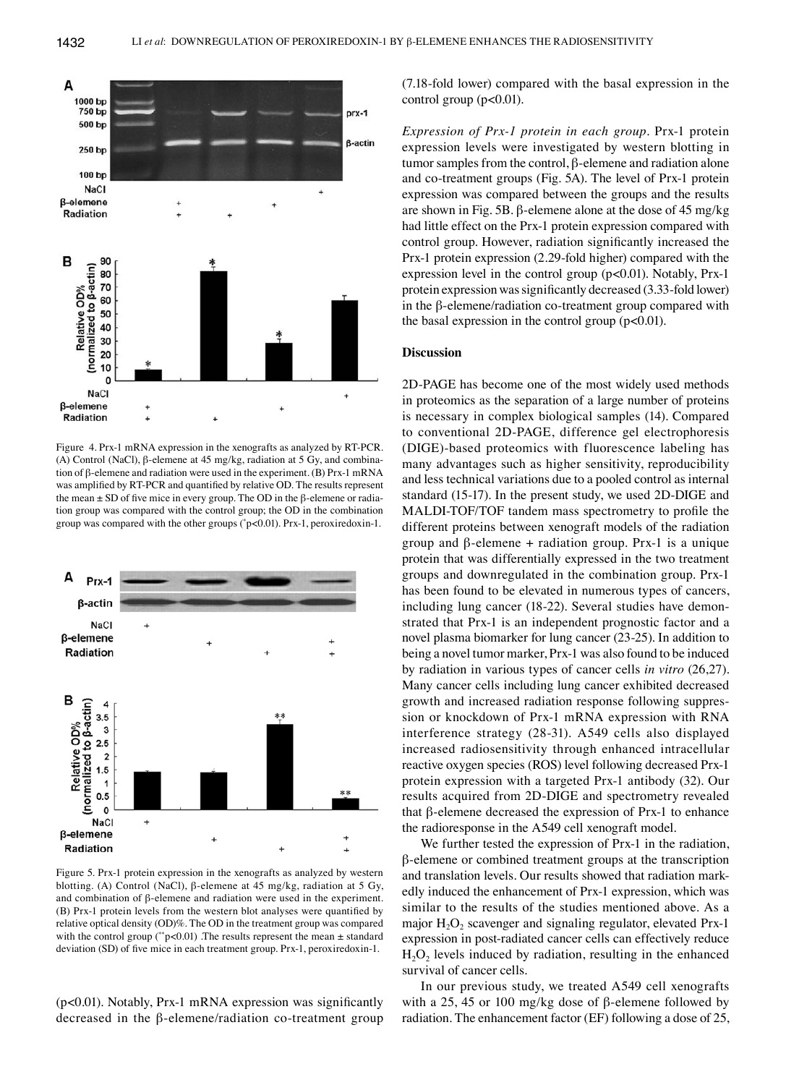

Figure 4. Prx-1 mRNA expression in the xenografts as analyzed by RT-PCR. (A) Control (NaCl), β-elemene at 45 mg/kg, radiation at 5 Gy, and combination of β-elemene and radiation were used in the experiment. (B) Prx-1 mRNA was amplified by RT-PCR and quantified by relative OD. The results represent the mean ± SD of five mice in every group. The OD in the β-elemene or radiation group was compared with the control group; the OD in the combination group was compared with the other groups (\* p<0.01). Prx-1, peroxiredoxin-1.



Figure 5. Prx-1 protein expression in the xenografts as analyzed by western blotting. (A) Control (NaCl), β-elemene at 45 mg/kg, radiation at 5 Gy, and combination of β-elemene and radiation were used in the experiment. (B) Prx-1 protein levels from the western blot analyses were quantified by relative optical density (OD)%. The OD in the treatment group was compared with the control group (\*\*p<0.01) .The results represent the mean  $\pm$  standard deviation (SD) of five mice in each treatment group. Prx-1, peroxiredoxin-1.

(p<0.01). Notably, Prx-1 mRNA expression was significantly decreased in the β-elemene/radiation co-treatment group (7.18-fold lower) compared with the basal expression in the control group  $(p<0.01)$ .

*Expression of Prx-1 protein in each group.* Prx-1 protein expression levels were investigated by western blotting in tumor samples from the control, β-elemene and radiation alone and co-treatment groups (Fig. 5A). The level of Prx-1 protein expression was compared between the groups and the results are shown in Fig. 5B. β-elemene alone at the dose of 45 mg/kg had little effect on the Prx-1 protein expression compared with control group. However, radiation significantly increased the Prx-1 protein expression (2.29-fold higher) compared with the expression level in the control group (p<0.01). Notably, Prx-1 protein expression was significantly decreased (3.33-fold lower) in the β-elemene/radiation co-treatment group compared with the basal expression in the control group  $(p<0.01)$ .

#### **Discussion**

2D-PAGE has become one of the most widely used methods in proteomics as the separation of a large number of proteins is necessary in complex biological samples (14). Compared to conventional 2D-PAGE, difference gel electrophoresis (DIGE)-based proteomics with fluorescence labeling has many advantages such as higher sensitivity, reproducibility and less technical variations due to a pooled control as internal standard (15-17). In the present study, we used 2D-DIGE and MALDI-TOF/TOF tandem mass spectrometry to profile the different proteins between xenograft models of the radiation group and β-elemene + radiation group. Prx-1 is a unique protein that was differentially expressed in the two treatment groups and downregulated in the combination group. Prx-1 has been found to be elevated in numerous types of cancers, including lung cancer (18-22). Several studies have demonstrated that Prx-1 is an independent prognostic factor and a novel plasma biomarker for lung cancer (23-25). In addition to being a novel tumor marker, Prx-1 was also found to be induced by radiation in various types of cancer cells *in vitro* (26,27). Many cancer cells including lung cancer exhibited decreased growth and increased radiation response following suppression or knockdown of Prx-1 mRNA expression with RNA interference strategy (28-31). A549 cells also displayed increased radiosensitivity through enhanced intracellular reactive oxygen species (ROS) level following decreased Prx-1 protein expression with a targeted Prx-1 antibody (32). Our results acquired from 2D-DIGE and spectrometry revealed that β-elemene decreased the expression of Prx-1 to enhance the radioresponse in the A549 cell xenograft model.

We further tested the expression of Prx-1 in the radiation, β-elemene or combined treatment groups at the transcription and translation levels. Our results showed that radiation markedly induced the enhancement of Prx-1 expression, which was similar to the results of the studies mentioned above. As a major  $H_2O_2$  scavenger and signaling regulator, elevated Prx-1 expression in post-radiated cancer cells can effectively reduce  $H<sub>2</sub>O<sub>2</sub>$  levels induced by radiation, resulting in the enhanced survival of cancer cells.

In our previous study, we treated A549 cell xenografts with a 25, 45 or 100 mg/kg dose of β-elemene followed by radiation. The enhancement factor (EF) following a dose of 25,